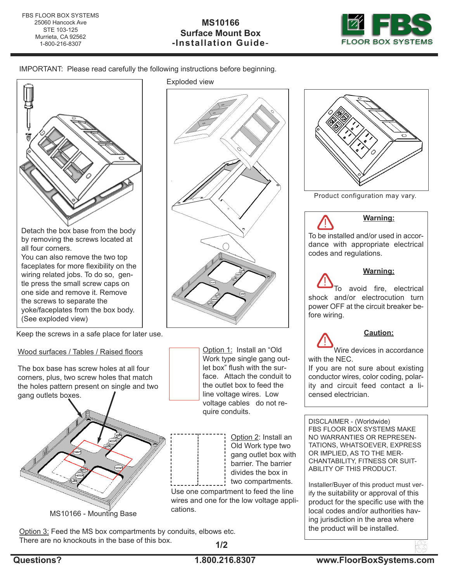

IMPORTANT: Please read carefully the following instructions before beginning.



by removing the screws located at all four corners.

You can also remove the two top faceplates for more flexibility on the wiring related jobs. To do so, gentle press the small screw caps on one side and remove it. Remove the screws to separate the yoke/faceplates from the box body. (See exploded view)

Keep the screws in a safe place for later use.

## Wood surfaces / Tables / Raised floors

The box base has screw holes at all four corners, plus, two screw holes that match the holes pattern present on single and two gang outlets boxes.



Exploded view



Option 1: Install an "Old Work type single gang outlet box" flush with the surface. Attach the conduit to the outlet box to feed the line voltage wires. Low voltage cables do not require conduits.

> Option 2: Install an Old Work type two gang outlet box with barrier. The barrier divides the box in two compartments.

Use one compartment to feed the line wires and one for the low voltage applications.

Option 3: Feed the MS box compartments by conduits, elbows etc. There are no knockouts in the base of this box. **1/2**



Product configuration may vary.



DISCLAIMER - (Worldwide) FBS FLOOR BOX SYSTEMS MAKE NO WARRANTIES OR REPRESEN-TATIONS, WHATSOEVER, EXPRESS OR IMPLIED, AS TO THE MER-CHANTABILITY, FITNESS OR SUIT-ABILITY OF THIS PRODUCT.

Installer/Buyer of this product must verify the suitability or approval of this product for the specific use with the local codes and/or authorities having jurisdiction in the area where the product will be installed.